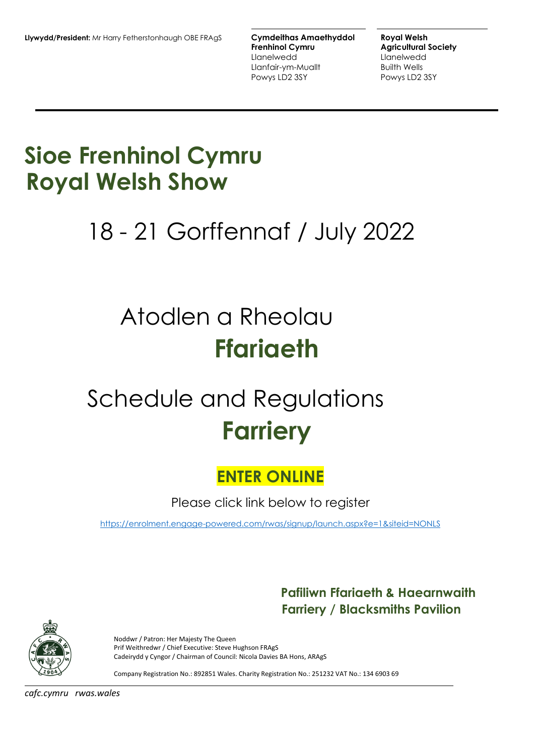**Frenhinol Cymru Carrolling Agricultural Society** Llanelwedd Llanelwedd Llanfair-ym-Muallt Builth Wells Powys LD2 3SY Powys LD2 3SY

# **Sioe Frenhinol Cymru Royal Welsh Show**

# 18 - 21 Gorffennaf / July 2022

# Atodlen a Rheolau **Ffariaeth**

# Schedule and Regulations **Farriery**

# **ENTER ONLINE**

Please click link below to register

[https://enrolment.engage-powered.com/rwas/signup/launch.aspx?e=1&siteid=NONLS](https://protect-eu.mimecast.com/s/QSAyCr8gnhDm6pF7s4F0)

# **Pafiliwn Ffariaeth & Haearnwaith Farriery / Blacksmiths Pavilion**



Noddwr / Patron: Her Majesty The Queen Prif Weithredwr / Chief Executive: Steve Hughson FRAgS Cadeirydd y Cyngor / Chairman of Council: Nicola Davies BA Hons, ARAgS

Company Registration No.: 892851 Wales. Charity Registration No.: 251232 VAT No.: 134 6903 69

*cafc.cymru rwas.wales*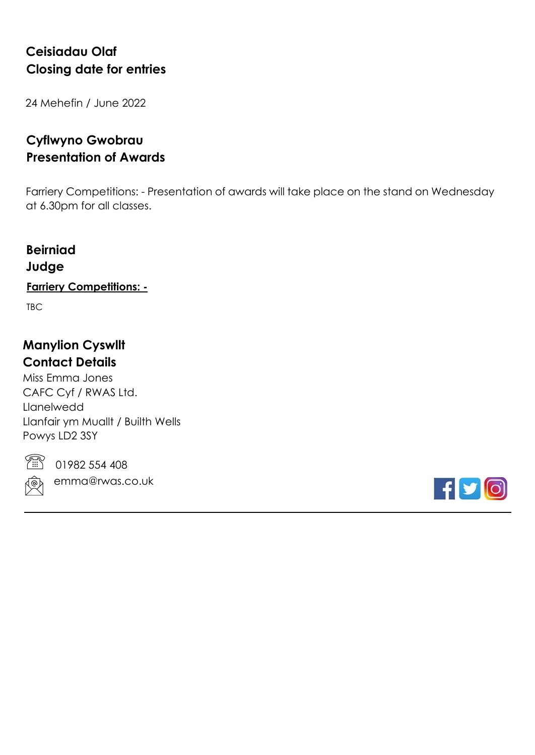# **Ceisiadau Olaf Closing date for entries**

24 Mehefin / June 2022

# **Cyflwyno Gwobrau Presentation of Awards**

Farriery Competitions: - Presentation of awards will take place on the stand on Wednesday at 6.30pm for all classes.

# **Beirniad Judge**

## **Farriery Competitions: -**

TBC

# **Manylion Cyswllt Contact Details**

Miss Emma Jones CAFC Cyf / RWAS Ltd. Llanelwedd Llanfair ym Muallt / Builth Wells Powys LD2 3SY



01982 554 408

emma@rwas.co.uk

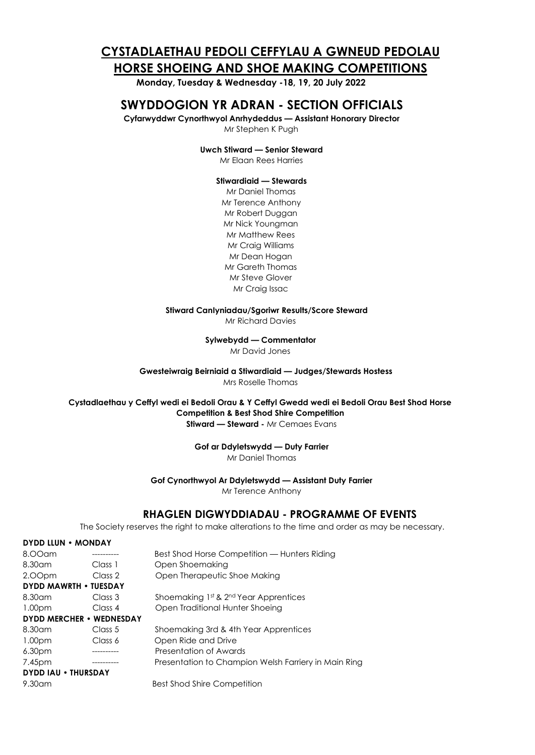## **CYSTADLAETHAU PEDOLI CEFFYLAU A GWNEUD PEDOLAU HORSE SHOEING AND SHOE MAKING COMPETITIONS**

**Monday, Tuesday & Wednesday -18, 19, 20 July 2022**

### **SWYDDOGION YR ADRAN - SECTION OFFICIALS**

**Cyfarwyddwr Cynorthwyol Anrhydeddus — Assistant Honorary Director** 

Mr Stephen K Pugh

**Uwch Stiward — Senior Steward**

Mr Elaan Rees Harries

#### **Stiwardiaid — Stewards**

Mr Daniel Thomas Mr Terence Anthony Mr Robert Duggan Mr Nick Youngman Mr Matthew Rees Mr Craig Williams Mr Dean Hogan Mr Gareth Thomas Mr Steve Glover Mr Craig Issac

#### **Stiward CanIyniadau/Sgoriwr Results/Score Steward**

Mr Richard Davies

**Sylwebydd — Commentator**

Mr David Jones

**Gwesteiwraig Beirniaid a Stiwardiaid — Judges/Stewards Hostess** Mrs Roselle Thomas

**Cystadlaethau y Ceffyl wedi ei Bedoli Orau & Y Ceffyl Gwedd wedi ei Bedoli Orau Best Shod Horse Competition & Best Shod Shire Competition Stiward — Steward - Mr Cemaes Evans** 

**Gof ar Ddyletswydd — Duty Farrier**

Mr Daniel Thomas

#### **Gof Cynorthwyol Ar Ddyletswydd — Assistant Duty Farrier**

Mr Terence Anthony

#### **RHAGLEN DIGWYDDIADAU - PROGRAMME OF EVENTS**

The Society reserves the right to make alterations to the time and order as may be necessary.

#### **DYDD LLUN • MONDAY**

| 8.00am                          |         | Best Shod Horse Competition — Hunters Riding         |
|---------------------------------|---------|------------------------------------------------------|
| 8.30 <sub>cm</sub>              | Class 1 | Open Shoemaking                                      |
| 2.00pm                          | Class 2 | Open Therapeutic Shoe Making                         |
| <b>DYDD MAWRTH • TUESDAY</b>    |         |                                                      |
| 8.30am                          | Class 3 | Shoemaking 1st & 2 <sup>nd</sup> Year Apprentices    |
| 1.00 <sub>pm</sub>              | Class 4 | Open Traditional Hunter Shoeing                      |
| <b>DYDD MERCHER • WEDNESDAY</b> |         |                                                      |
| 8.30am                          | Class 5 | Shoemaking 3rd & 4th Year Apprentices                |
| 1.00 <sub>pm</sub>              | Class 6 | Open Ride and Drive                                  |
| 6.30 <sub>pm</sub>              |         | Presentation of Awards                               |
| 7.45pm                          |         | Presentation to Champion Welsh Farriery in Main Ring |
| <b>DYDD IAU . THURSDAY</b>      |         |                                                      |
| $9.30$ am                       |         | <b>Best Shod Shire Competition</b>                   |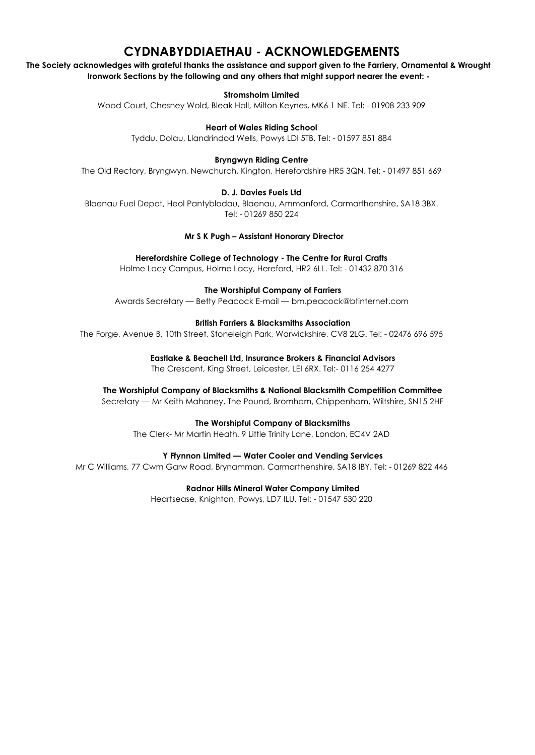# **CYDNABYDDIAETHAU - ACKNOWLEDGEMENTS**

**The Society acknowledges with grateful thanks the assistance and support given to the Farriery, Ornamental & Wrought Ironwork Sections by the following and any others that might support nearer the event: -**

**Stromsholm Limited**

Wood Court, Chesney Wold, Bleak Hall, Milton Keynes, MK6 1 NE. Tel: - 01908 233 909

**Heart of Wales Riding School**

Tyddu, Dolau, Llandrindod Wells, Powys LDI 5TB. Tel: - 01597 851 884

**Bryngwyn Riding Centre**

The Old Rectory, Bryngwyn, Newchurch, Kington, Herefordshire HR5 3QN. Tel: - 01497 851 669

#### **D. J. Davies Fuels Ltd**

Blaenau Fuel Depot, Heol Pantyblodau, Blaenau, Ammanford, Carmarthenshire, SA18 3BX. Tel: - 01269 850 224

**Mr S K Pugh – Assistant Honorary Director**

**Herefordshire College of Technology - The Centre for Rural Crafts**

Holme Lacy Campus, Holme Lacy, Hereford, HR2 6LL. Tel: - 01432 870 316

**The Worshipful Company of Farriers**

Awards Secretary — Betty Peacock E-mail — [bm.peacock@btinternet.com](mailto:bm.peacock@btinternet.com)

#### **British Farriers & Blacksmiths Association**

The Forge, Avenue B, 10th Street, Stoneleigh Park, Warwickshire, CV8 2LG. Tel: - 02476 696 595

**Eastlake & Beachell Ltd, Insurance Brokers & Financial Advisors**

The Crescent, King Street, Leicester, LEI 6RX. Tel:- 0116 254 4277

**The Worshipful Company of Blacksmiths & National Blacksmith Competition Committee** 

Secretary — Mr Keith Mahoney, The Pound, Bromham, Chippenham, Wiltshire, SN15 2HF

#### **The Worshipful Company of Blacksmiths**

The Clerk- Mr Martin Heath, 9 Little Trinity Lane, London, EC4V 2AD

#### **Y Ffynnon Limited — Water Cooler and Vending Services**

Mr C Williams, 77 Cwm Garw Road, Brynamman, Carmarthenshire, SA18 IBY. Tel: - 01269 822 446

**Radnor Hills Mineral Water Company Limited**

Heartsease, Knighton, Powys, LD7 ILU. Tel: - 01547 530 220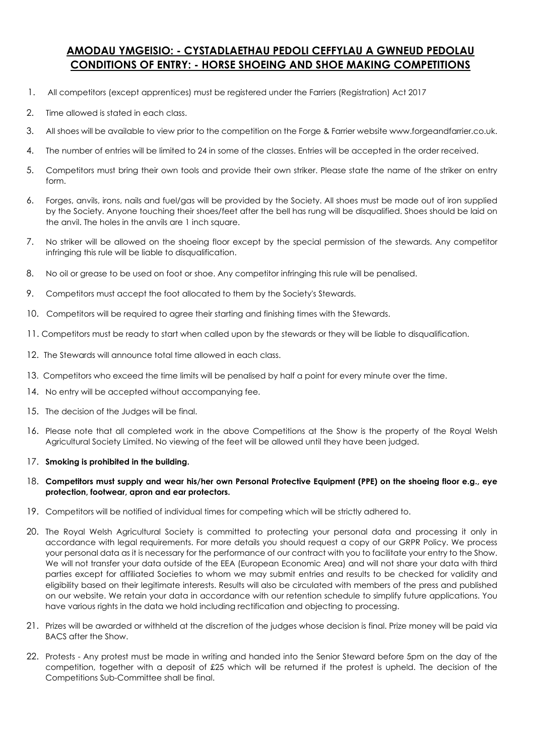#### **AMODAU YMGEISIO: - CYSTADLAETHAU PEDOLI CEFFYLAU A GWNEUD PEDOLAU CONDITIONS OF ENTRY: - HORSE SHOEING AND SHOE MAKING COMPETITIONS**

- 1. All competitors (except apprentices) must be registered under the Farriers (Registration) Act 2017
- 2. Time allowed is stated in each class.
- 3. All shoes will be available to view prior to the competition on the Forge & Farrier website www.forgeandfarrier.co.uk.
- 4. The number of entries will be limited to 24 in some of the classes. Entries will be accepted in the order received.
- 5. Competitors must bring their own tools and provide their own striker. Please state the name of the striker on entry form.
- 6. Forges, anvils, irons, nails and fuel/gas will be provided by the Society. All shoes must be made out of iron supplied by the Society. Anyone touching their shoes/feet after the bell has rung will be disqualified. Shoes should be laid on the anvil. The holes in the anvils are 1 inch square.
- 7. No striker will be allowed on the shoeing floor except by the special permission of the stewards. Any competitor infringing this rule will be liable to disqualification.
- 8. No oil or grease to be used on foot or shoe. Any competitor infringing this rule will be penalised.
- 9. Competitors must accept the foot allocated to them by the Society's Stewards.
- 10. Competitors will be required to agree their starting and finishing times with the Stewards.
- 11. Competitors must be ready to start when called upon by the stewards or they will be liable to disqualification.
- 12. The Stewards will announce total time allowed in each class.
- 13. Competitors who exceed the time limits will be penalised by half a point for every minute over the time.
- 14. No entry will be accepted without accompanying fee.
- 15. The decision of the Judges will be final.
- 16. Please note that all completed work in the above Competitions at the Show is the property of the Royal Welsh Agricultural Society Limited. No viewing of the feet will be allowed until they have been judged.

#### 17. **Smoking is prohibited in the building.**

- 18. **Competitors must supply and wear his/her own Personal Protective Equipment (PPE) on the shoeing floor e.g., eye protection, footwear, apron and ear protectors.**
- 19. Competitors will be notified of individual times for competing which will be strictly adhered to.
- 20. The Royal Welsh Agricultural Society is committed to protecting your personal data and processing it only in accordance with legal requirements. For more details you should request a copy of our GRPR Policy. We process your personal data as it is necessary for the performance of our contract with you to facilitate your entry to the Show. We will not transfer your data outside of the EEA (European Economic Area) and will not share your data with third parties except for affiliated Societies to whom we may submit entries and results to be checked for validity and eligibility based on their legitimate interests. Results will also be circulated with members of the press and published on our website. We retain your data in accordance with our retention schedule to simplify future applications. You have various rights in the data we hold including rectification and objecting to processing.
- 21. Prizes will be awarded or withheld at the discretion of the judges whose decision is final. Prize money will be paid via BACS after the Show.
- 22. Protests Any protest must be made in writing and handed into the Senior Steward before 5pm on the day of the competition, together with a deposit of £25 which will be returned if the protest is upheld. The decision of the Competitions Sub-Committee shall be final.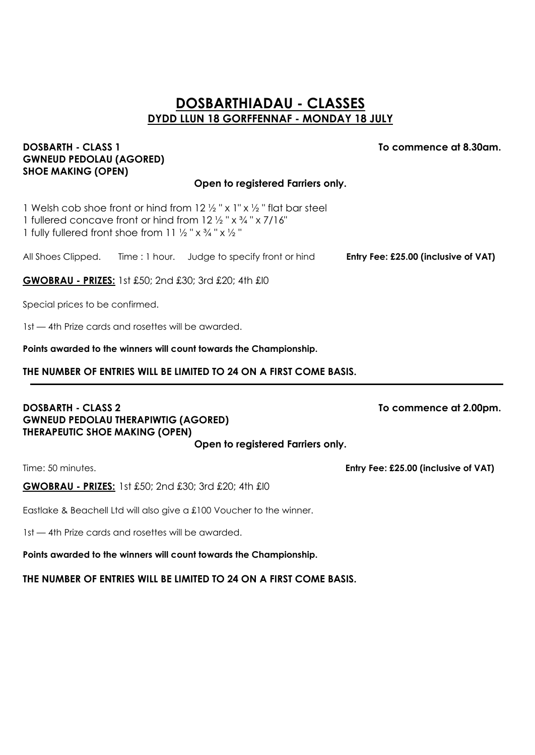### **DOSBARTHIADAU - CLASSES DYDD LLUN 18 GORFFENNAF - MONDAY 18 JULY**

#### **DOSBARTH - CLASS 1 To commence at 8.30am. GWNEUD PEDOLAU (AGORED) SHOE MAKING (OPEN)**

#### **Open to registered Farriers only.**

1 Welsh cob shoe front or hind from  $12\frac{1}{2}$  " x 1" x  $\frac{1}{2}$  " flat bar steel 1 fullered concave front or hind from  $12\frac{1}{2}$  "  $\times$   $\frac{3}{4}$  "  $\times$  7/16" 1 fully fullered front shoe from 11  $\frac{1}{2}$  " x  $\frac{3}{4}$  " x  $\frac{1}{2}$  "

All Shoes Clipped. Time : 1 hour. Judge to specify front or hind **Entry Fee: £25.00 (inclusive of VAT)**

**GWOBRAU - PRIZES:** 1st £50; 2nd £30; 3rd £20; 4th £I0

Special prices to be confirmed.

1st — 4th Prize cards and rosettes will be awarded.

**Points awarded to the winners will count towards the Championship.**

#### **THE NUMBER OF ENTRIES WILL BE LIMITED TO 24 ON A FIRST COME BASIS.**

#### **DOSBARTH - CLASS 2** To commence at 2.00pm. **GWNEUD PEDOLAU THERAPIWTIG (AGORED) THERAPEUTIC SHOE MAKING (OPEN)**

**Open to registered Farriers only.**

**GWOBRAU - PRIZES:** 1st £50; 2nd £30; 3rd £20; 4th £I0

Eastlake & Beachell Ltd will also give a £100 Voucher to the winner.

1st — 4th Prize cards and rosettes will be awarded.

**Points awarded to the winners will count towards the Championship.**

**THE NUMBER OF ENTRIES WILL BE LIMITED TO 24 ON A FIRST COME BASIS.**

Time: 50 minutes. **Entry Fee: £25.00 (inclusive of VAT)**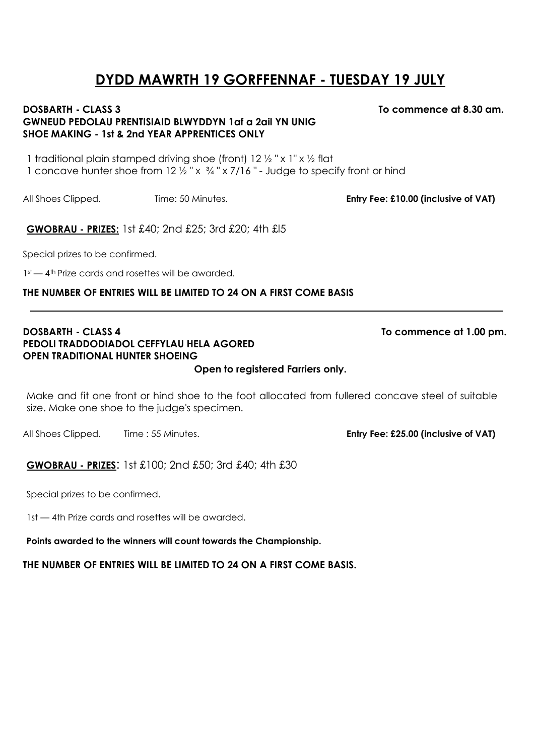# **DYDD MAWRTH 19 GORFFENNAF - TUESDAY 19 JULY**

#### **DOSBARTH - CLASS 3 To commence at 8.30 am. GWNEUD PEDOLAU PRENTISIAID BLWYDDYN 1af a 2ail YN UNIG SHOE MAKING - 1st & 2nd YEAR APPRENTICES ONLY**

1 traditional plain stamped driving shoe (front)  $12 \frac{1}{2}$  "x 1" x  $\frac{1}{2}$  flat 1 concave hunter shoe from  $12\frac{1}{2}$  "x  $\frac{3}{4}$ " x 7/16" - Judge to specify front or hind

All Shoes Clipped. Time: 50 Minutes. **Entry Fee: £10.00 (inclusive of VAT)**

**GWOBRAU - PRIZES:** 1st £40; 2nd £25; 3rd £20; 4th £l5

Special prizes to be confirmed.

1st — 4<sup>th</sup> Prize cards and rosettes will be awarded.

#### **THE NUMBER OF ENTRIES WILL BE LIMITED TO 24 ON A FIRST COME BASIS**

#### **DOSBARTH - CLASS 4** To commence at 1.00 pm. **PEDOLI TRADDODIADOL CEFFYLAU HELA AGORED OPEN TRADITIONAL HUNTER SHOEING**

**Open to registered Farriers only.**

Make and fit one front or hind shoe to the foot allocated from fullered concave steel of suitable size. Make one shoe to the judge's specimen.

All Shoes Clipped. Time : 55 Minutes. **Entry Fee: £25.00 (inclusive of VAT)**

**GWOBRAU - PRIZES**: 1st £100; 2nd £50; 3rd £40; 4th £30

Special prizes to be confirmed.

1st — 4th Prize cards and rosettes will be awarded.

**Points awarded to the winners will count towards the Championship.**

**THE NUMBER OF ENTRIES WILL BE LIMITED TO 24 ON A FIRST COME BASIS.**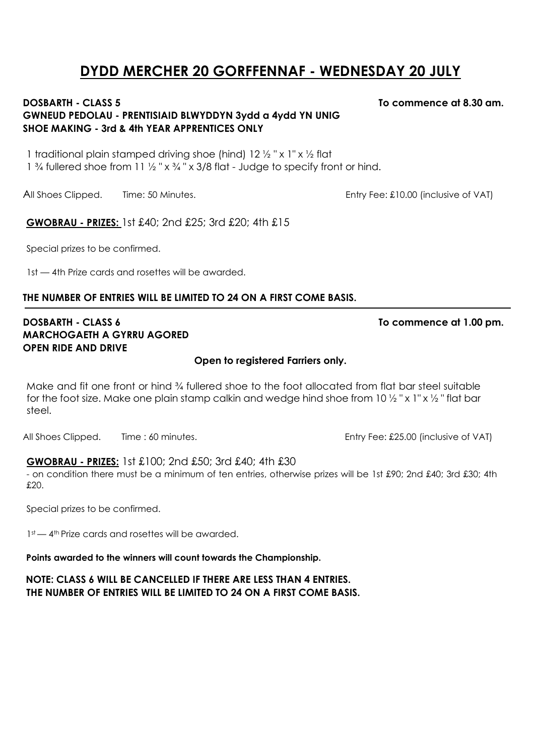# **DYDD MERCHER 20 GORFFENNAF - WEDNESDAY 20 JULY**

#### **DOSBARTH - CLASS 5 To commence at 8.30 am. GWNEUD PEDOLAU - PRENTISIAID BLWYDDYN 3ydd a 4ydd YN UNIG SHOE MAKING - 3rd & 4th YEAR APPRENTICES ONLY**

1 traditional plain stamped driving shoe (hind)  $12\frac{1}{2}$  "x 1" x  $\frac{1}{2}$  flat

1  $\frac{3}{4}$  fullered shoe from 11  $\frac{1}{2}$  " x  $\frac{3}{4}$ " x 3/8 flat - Judge to specify front or hind.

All Shoes Clipped. Time: 50 Minutes. **Entry Fee: £10.00** (inclusive of VAT)

**GWOBRAU - PRIZES:** 1st £40; 2nd £25; 3rd £20; 4th £15

Special prizes to be confirmed.

1st — 4th Prize cards and rosettes will be awarded.

#### **THE NUMBER OF ENTRIES WILL BE LIMITED TO 24 ON A FIRST COME BASIS.**

#### **DOSBARTH - CLASS 6 To commence at 1.00 pm. MARCHOGAETH A GYRRU AGORED OPEN RIDE AND DRIVE**

#### **Open to registered Farriers only.**

Make and fit one front or hind ¾ fullered shoe to the foot allocated from flat bar steel suitable for the foot size. Make one plain stamp calkin and wedge hind shoe from 10  $\frac{1}{2}$  " x 1" x  $\frac{1}{2}$  " flat bar steel.

All Shoes Clipped. Time : 60 minutes. All Shoes Clipped. Time : 60 minutes.

#### **GWOBRAU - PRIZES:** 1st £100; 2nd £50; 3rd £40; 4th £30

- on condition there must be a minimum of ten entries, otherwise prizes will be 1st £90; 2nd £40; 3rd £30; 4th £20.

Special prizes to be confirmed.

1st — 4<sup>th</sup> Prize cards and rosettes will be awarded.

### **Points awarded to the winners will count towards the Championship.**

**NOTE: CLASS 6 WILL BE CANCELLED IF THERE ARE LESS THAN 4 ENTRIES. THE NUMBER OF ENTRIES WILL BE LIMITED TO 24 ON A FIRST COME BASIS.**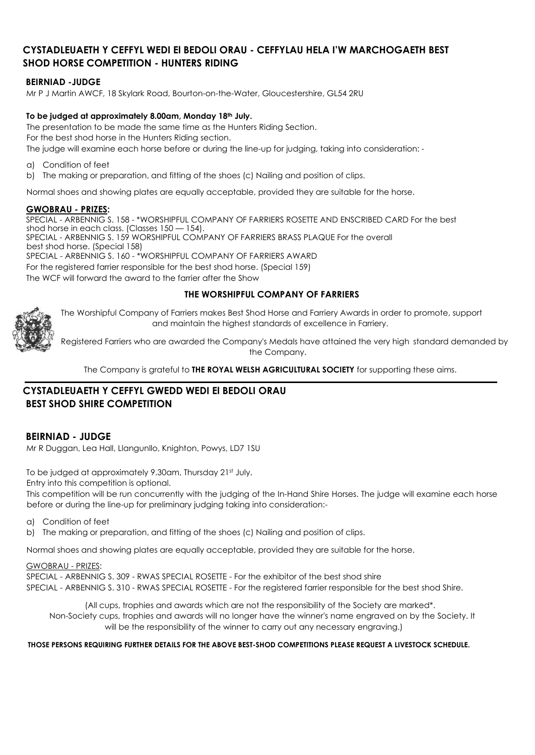#### **CYSTADLEUAETH Y CEFFYL WEDI El BEDOLI ORAU - CEFFYLAU HELA I'W MARCHOGAETH BEST SHOD HORSE COMPETITION - HUNTERS RIDING**

#### **BEIRNIAD -JUDGE**

Mr P J Martin AWCF, 18 Skylark Road, Bourton-on-the-Water, Gloucestershire, GL54 2RU

#### **To be judged at approximately 8.00am, Monday 18th July.**

The presentation to be made the same time as the Hunters Riding Section. For the best shod horse in the Hunters Riding section. The judge will examine each horse before or during the line-up for judging, taking into consideration: -

- a) Condition of feet
- b) The making or preparation, and fitting of the shoes (c) Nailing and position of clips.

Normal shoes and showing plates are equally acceptable, provided they are suitable for the horse.

#### **GWOBRAU - PRIZES:**

SPECIAL - ARBENNIG S. 158 - \*WORSHIPFUL COMPANY OF FARRIERS ROSETTE AND ENSCRIBED CARD For the best shod horse in each class. (Classes 150 — 154). SPECIAL - ARBENNIG S. 159 WORSHIPFUL COMPANY OF FARRIERS BRASS PLAQUE For the overall best shod horse. (Special 158) SPECIAL - ARBENNIG S. 160 - \*WORSHIPFUL COMPANY OF FARRIERS AWARD For the registered farrier responsible for the best shod horse. (Special 159) The WCF will forward the award to the farrier after the Show

#### **THE WORSHIPFUL COMPANY OF FARRIERS**



The Worshipful Company of Farriers makes Best Shod Horse and Farriery Awards in order to promote, support and maintain the highest standards of excellence in Farriery.

Registered Farriers who are awarded the Company's Medals have attained the very high standard demanded by the Company.

The Company is grateful to **THE ROYAL WELSH AGRICULTURAL SOCIETY** for supporting these aims.

#### **CYSTADLEUAETH Y CEFFYL GWEDD WEDI El BEDOLI ORAU BEST SHOD SHIRE COMPETITION**

#### **BEIRNIAD - JUDGE**

Mr R Duggan, Lea Hall, Llangunllo, Knighton, Powys, LD7 1SU

To be judged at approximately 9.30am, Thursday 21st July. Entry into this competition is optional.

This competition will be run concurrently with the judging of the In-Hand Shire Horses. The judge will examine each horse before or during the line-up for preliminary judging taking into consideration:-

- a) Condition of feet
- b) The making or preparation, and fitting of the shoes (c) Nailing and position of clips.

Normal shoes and showing plates are equally acceptable, provided they are suitable for the horse.

#### GWOBRAU - PRIZES:

SPECIAL - ARBENNIG S. 309 - RWAS SPECIAL ROSETTE - For the exhibitor of the best shod shire SPECIAL - ARBENNIG S. 310 - RWAS SPECIAL ROSETTE - For the registered farrier responsible for the best shod Shire.

(All cups, trophies and awards which are not the responsibility of the Society are marked\*. Non-Society cups, trophies and awards will no longer have the winner's name engraved on by the Society. It will be the responsibility of the winner to carry out any necessary engraving.)

#### **THOSE PERSONS REQUIRING FURTHER DETAILS FOR THE ABOVE BEST-SHOD COMPETITIONS PLEASE REQUEST A LIVESTOCK SCHEDULE.**